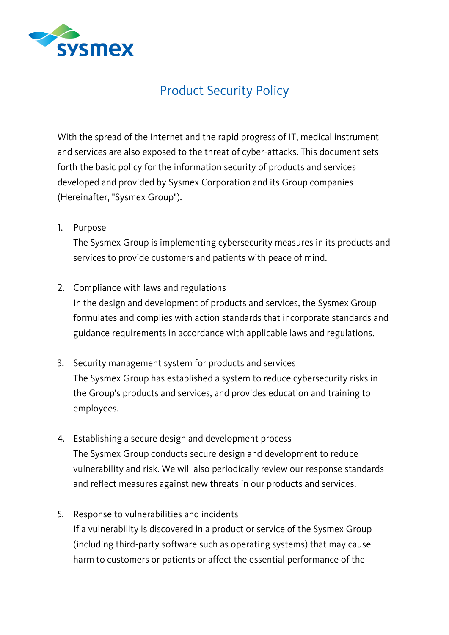

## Product Security Policy

With the spread of the Internet and the rapid progress of IT, medical instrument and services are also exposed to the threat of cyber-attacks. This document sets forth the basic policy for the information security of products and services developed and provided by Sysmex Corporation and its Group companies (Hereinafter, "Sysmex Group").

1. Purpose

The Sysmex Group is implementing cybersecurity measures in its products and services to provide customers and patients with peace of mind.

2. Compliance with laws and regulations

In the design and development of products and services, the Sysmex Group formulates and complies with action standards that incorporate standards and guidance requirements in accordance with applicable laws and regulations.

- 3. Security management system for products and services The Sysmex Group has established a system to reduce cybersecurity risks in the Group's products and services, and provides education and training to employees.
- 4. Establishing a secure design and development process The Sysmex Group conducts secure design and development to reduce vulnerability and risk. We will also periodically review our response standards and reflect measures against new threats in our products and services.
- 5. Response to vulnerabilities and incidents If a vulnerability is discovered in a product or service of the Sysmex Group (including third-party software such as operating systems) that may cause harm to customers or patients or affect the essential performance of the